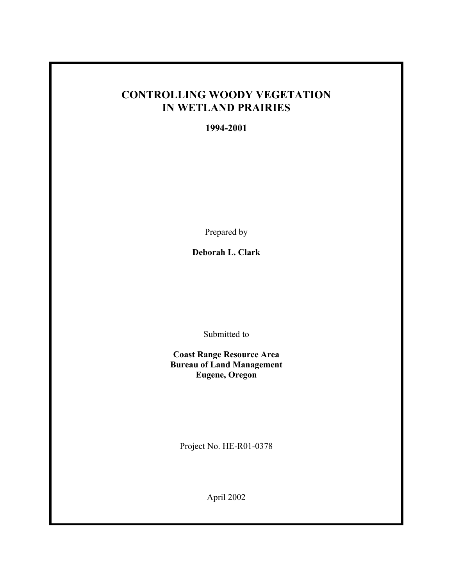# **CONTROLLING WOODY VEGETATION IN WETLAND PRAIRIES**

**1994-2001**

Prepared by

**Deborah L. Clark** 

Submitted to

**Coast Range Resource Area Bureau of Land Management Eugene, Oregon** 

Project No. HE-R01-0378

April 2002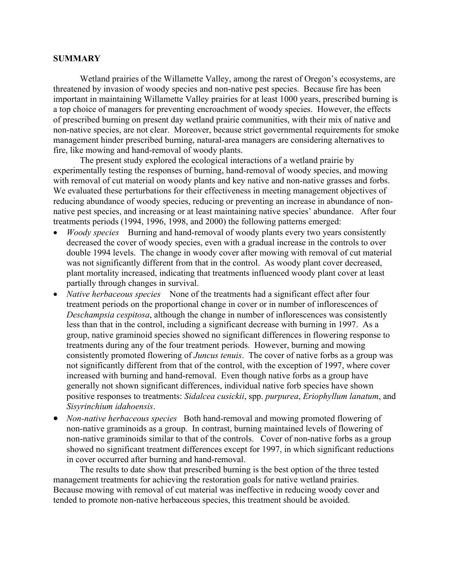# **SUMMARY**

Wetland prairies of the Willamette Valley, among the rarest of Oregon's ecosystems, are threatened by invasion of woody species and non-native pest species. Because fire has been important in maintaining Willamette Valley prairies for at least 1000 years, prescribed burning is a top choice of managers for preventing encroachment of woody species. However, the effects of prescribed burning on present day wetland prairie communities, with their mix of native and non-native species, are not clear. Moreover, because strict governmental requirements for smoke management hinder prescribed burning, natural-area managers are considering alternatives to fire, like mowing and hand-removal of woody plants.

 The present study explored the ecological interactions of a wetland prairie by experimentally testing the responses of burning, hand-removal of woody species, and mowing with removal of cut material on woody plants and key native and non-native grasses and forbs. We evaluated these perturbations for their effectiveness in meeting management objectives of reducing abundance of woody species, reducing or preventing an increase in abundance of nonnative pest species, and increasing or at least maintaining native species' abundance. After four treatments periods (1994, 1996, 1998, and 2000) the following patterns emerged:

- *Woody species* Burning and hand-removal of woody plants every two years consistently decreased the cover of woody species, even with a gradual increase in the controls to over double 1994 levels. The change in woody cover after mowing with removal of cut material was not significantly different from that in the control. As woody plant cover decreased, plant mortality increased, indicating that treatments influenced woody plant cover at least partially through changes in survival.
- *Native herbaceous species* None of the treatments had a significant effect after four treatment periods on the proportional change in cover or in number of inflorescences of *Deschampsia cespitosa*, although the change in number of inflorescences was consistently less than that in the control, including a significant decrease with burning in 1997. As a group, native graminoid species showed no significant differences in flowering response to treatments during any of the four treatment periods. However, burning and mowing consistently promoted flowering of *Juncus tenuis*. The cover of native forbs as a group was not significantly different from that of the control, with the exception of 1997, where cover increased with burning and hand-removal. Even though native forbs as a group have generally not shown significant differences, individual native forb species have shown positive responses to treatments: *Sidalcea cusickii*, spp. *purpurea*, *Eriophyllum lanatum*, and *Sisyrinchium idahoensis*.
- *Non-native herbaceous species* Both hand-removal and mowing promoted flowering of non-native graminoids as a group. In contrast, burning maintained levels of flowering of non-native graminoids similar to that of the controls. Cover of non-native forbs as a group showed no significant treatment differences except for 1997, in which significant reductions in cover occurred after burning and hand-removal.

The results to date show that prescribed burning is the best option of the three tested management treatments for achieving the restoration goals for native wetland prairies. Because mowing with removal of cut material was ineffective in reducing woody cover and tended to promote non-native herbaceous species, this treatment should be avoided.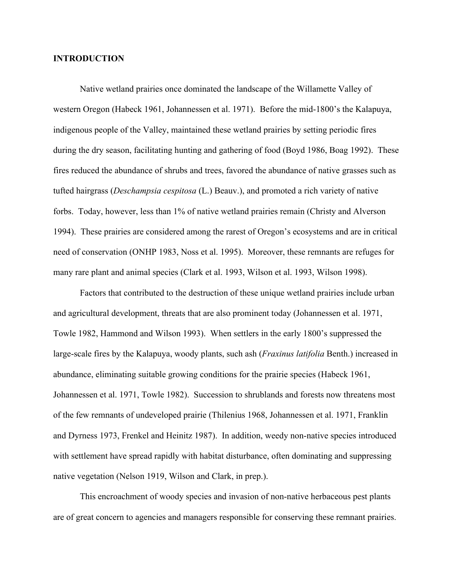# **INTRODUCTION**

 Native wetland prairies once dominated the landscape of the Willamette Valley of western Oregon (Habeck 1961, Johannessen et al. 1971). Before the mid-1800's the Kalapuya, indigenous people of the Valley, maintained these wetland prairies by setting periodic fires during the dry season, facilitating hunting and gathering of food (Boyd 1986, Boag 1992). These fires reduced the abundance of shrubs and trees, favored the abundance of native grasses such as tufted hairgrass (*Deschampsia cespitosa* (L.) Beauv.), and promoted a rich variety of native forbs. Today, however, less than 1% of native wetland prairies remain (Christy and Alverson 1994). These prairies are considered among the rarest of Oregon's ecosystems and are in critical need of conservation (ONHP 1983, Noss et al. 1995). Moreover, these remnants are refuges for many rare plant and animal species (Clark et al. 1993, Wilson et al. 1993, Wilson 1998).

 Factors that contributed to the destruction of these unique wetland prairies include urban and agricultural development, threats that are also prominent today (Johannessen et al. 1971, Towle 1982, Hammond and Wilson 1993). When settlers in the early 1800's suppressed the large-scale fires by the Kalapuya, woody plants, such ash (*Fraxinus latifolia* Benth.) increased in abundance, eliminating suitable growing conditions for the prairie species (Habeck 1961, Johannessen et al. 1971, Towle 1982).Succession to shrublands and forests now threatens most of the few remnants of undeveloped prairie (Thilenius 1968, Johannessen et al. 1971, Franklin and Dyrness 1973, Frenkel and Heinitz 1987). In addition, weedy non-native species introduced with settlement have spread rapidly with habitat disturbance, often dominating and suppressing native vegetation (Nelson 1919, Wilson and Clark, in prep.).

This encroachment of woody species and invasion of non-native herbaceous pest plants are of great concern to agencies and managers responsible for conserving these remnant prairies.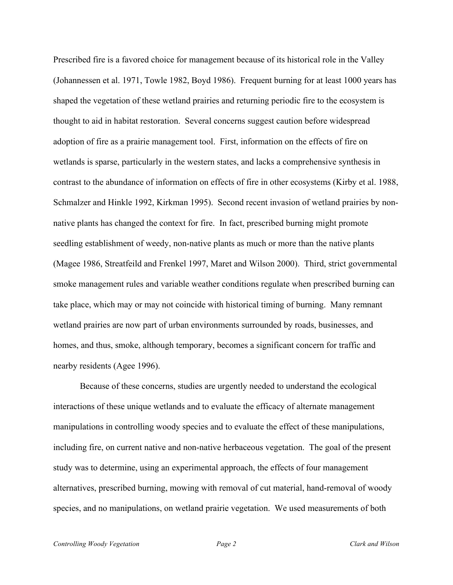Prescribed fire is a favored choice for management because of its historical role in the Valley (Johannessen et al. 1971, Towle 1982, Boyd 1986). Frequent burning for at least 1000 years has shaped the vegetation of these wetland prairies and returning periodic fire to the ecosystem is thought to aid in habitat restoration. Several concerns suggest caution before widespread adoption of fire as a prairie management tool. First, information on the effects of fire on wetlands is sparse, particularly in the western states, and lacks a comprehensive synthesis in contrast to the abundance of information on effects of fire in other ecosystems (Kirby et al. 1988, Schmalzer and Hinkle 1992, Kirkman 1995). Second recent invasion of wetland prairies by nonnative plants has changed the context for fire. In fact, prescribed burning might promote seedling establishment of weedy, non-native plants as much or more than the native plants (Magee 1986, Streatfeild and Frenkel 1997, Maret and Wilson 2000). Third, strict governmental smoke management rules and variable weather conditions regulate when prescribed burning can take place, which may or may not coincide with historical timing of burning. Many remnant wetland prairies are now part of urban environments surrounded by roads, businesses, and homes, and thus, smoke, although temporary, becomes a significant concern for traffic and nearby residents (Agee 1996).

Because of these concerns, studies are urgently needed to understand the ecological interactions of these unique wetlands and to evaluate the efficacy of alternate management manipulations in controlling woody species and to evaluate the effect of these manipulations, including fire, on current native and non-native herbaceous vegetation. The goal of the present study was to determine, using an experimental approach, the effects of four management alternatives, prescribed burning, mowing with removal of cut material, hand-removal of woody species, and no manipulations, on wetland prairie vegetation. We used measurements of both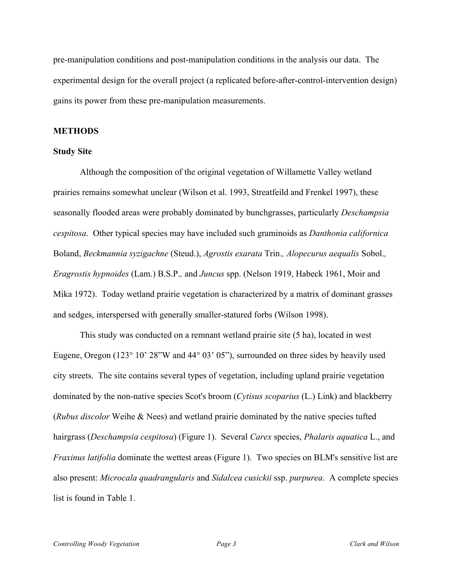pre-manipulation conditions and post-manipulation conditions in the analysis our data. The experimental design for the overall project (a replicated before-after-control-intervention design) gains its power from these pre-manipulation measurements.

## **METHODS**

### **Study Site**

 Although the composition of the original vegetation of Willamette Valley wetland prairies remains somewhat unclear (Wilson et al. 1993, Streatfeild and Frenkel 1997), these seasonally flooded areas were probably dominated by bunchgrasses, particularly *Deschampsia cespitosa*. Other typical species may have included such graminoids as *Danthonia californica* Boland, *Beckmannia syzigachne* (Steud.), *Agrostis exarata* Trin.*, Alopecurus aequalis* Sobol.*, Eragrostis hypnoides* (Lam.) B.S.P.*,* and *Juncus* spp. (Nelson 1919, Habeck 1961, Moir and Mika 1972). Today wetland prairie vegetation is characterized by a matrix of dominant grasses and sedges, interspersed with generally smaller-statured forbs (Wilson 1998).

 This study was conducted on a remnant wetland prairie site (5 ha), located in west Eugene, Oregon (123° 10' 28"W and 44° 03' 05"), surrounded on three sides by heavily used city streets. The site contains several types of vegetation, including upland prairie vegetation dominated by the non-native species Scot's broom (*Cytisus scoparius* (L.) Link) and blackberry (*Rubus discolor* Weihe & Nees) and wetland prairie dominated by the native species tufted hairgrass (*Deschampsia cespitosa*) (Figure 1). Several *Carex* species, *Phalaris aquatica* L., and *Fraxinus latifolia* dominate the wettest areas (Figure 1). Two species on BLM's sensitive list are also present: *Microcala quadrangularis* and *Sidalcea cusickii* ssp. *purpurea*. A complete species list is found in Table 1.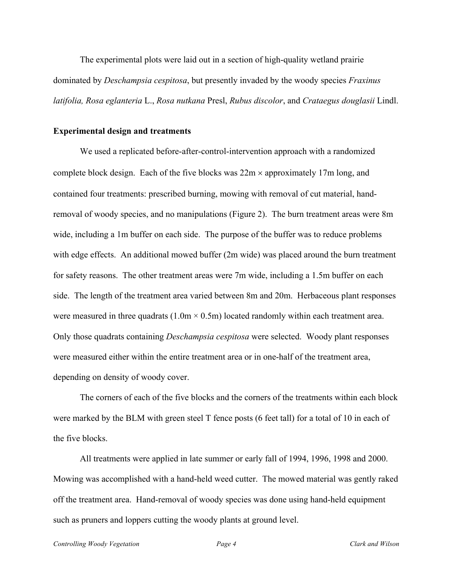The experimental plots were laid out in a section of high-quality wetland prairie dominated by *Deschampsia cespitosa*, but presently invaded by the woody species *Fraxinus latifolia, Rosa eglanteria* L., *Rosa nutkana* Presl, *Rubus discolor*, and *Crataegus douglasii* Lindl.

#### **Experimental design and treatments**

 We used a replicated before-after-control-intervention approach with a randomized complete block design. Each of the five blocks was  $22m \times$  approximately 17m long, and contained four treatments: prescribed burning, mowing with removal of cut material, handremoval of woody species, and no manipulations (Figure 2). The burn treatment areas were 8m wide, including a 1m buffer on each side. The purpose of the buffer was to reduce problems with edge effects. An additional mowed buffer (2m wide) was placed around the burn treatment for safety reasons. The other treatment areas were 7m wide, including a 1.5m buffer on each side. The length of the treatment area varied between 8m and 20m. Herbaceous plant responses were measured in three quadrats  $(1.0m \times 0.5m)$  located randomly within each treatment area. Only those quadrats containing *Deschampsia cespitosa* were selected. Woody plant responses were measured either within the entire treatment area or in one-half of the treatment area, depending on density of woody cover.

 The corners of each of the five blocks and the corners of the treatments within each block were marked by the BLM with green steel T fence posts (6 feet tall) for a total of 10 in each of the five blocks.

 All treatments were applied in late summer or early fall of 1994, 1996, 1998 and 2000. Mowing was accomplished with a hand-held weed cutter. The mowed material was gently raked off the treatment area. Hand-removal of woody species was done using hand-held equipment such as pruners and loppers cutting the woody plants at ground level.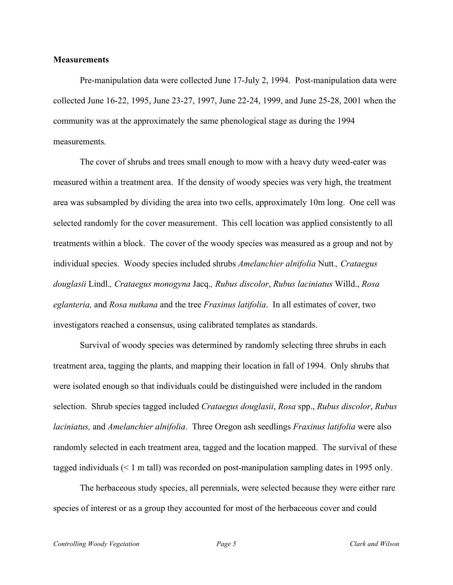## **Measurements**

 Pre-manipulation data were collected June 17-July 2, 1994. Post-manipulation data were collected June 16-22, 1995, June 23-27, 1997, June 22-24, 1999, and June 25-28, 2001 when the community was at the approximately the same phenological stage as during the 1994 measurements.

 The cover of shrubs and trees small enough to mow with a heavy duty weed-eater was measured within a treatment area. If the density of woody species was very high, the treatment area was subsampled by dividing the area into two cells, approximately 10m long. One cell was selected randomly for the cover measurement. This cell location was applied consistently to all treatments within a block. The cover of the woody species was measured as a group and not by individual species. Woody species included shrubs *Amelanchier alnifolia* Nutt.*, Crataegus douglasii* Lindl.*, Crataegus monogyna* Jacq.*, Rubus discolor*, *Rubus laciniatus* Willd., *Rosa eglanteria,* and *Rosa nutkana* and the tree *Fraxinus latifolia*. In all estimates of cover, two investigators reached a consensus, using calibrated templates as standards.

 Survival of woody species was determined by randomly selecting three shrubs in each treatment area, tagging the plants, and mapping their location in fall of 1994. Only shrubs that were isolated enough so that individuals could be distinguished were included in the random selection. Shrub species tagged included *Crataegus douglasii*, *Rosa* spp., *Rubus discolor*, *Rubus laciniatus,* and *Amelanchier alnifolia*. Three Oregon ash seedlings *Fraxinus latifolia* were also randomly selected in each treatment area, tagged and the location mapped. The survival of these tagged individuals (< 1 m tall) was recorded on post-manipulation sampling dates in 1995 only.

The herbaceous study species, all perennials, were selected because they were either rare species of interest or as a group they accounted for most of the herbaceous cover and could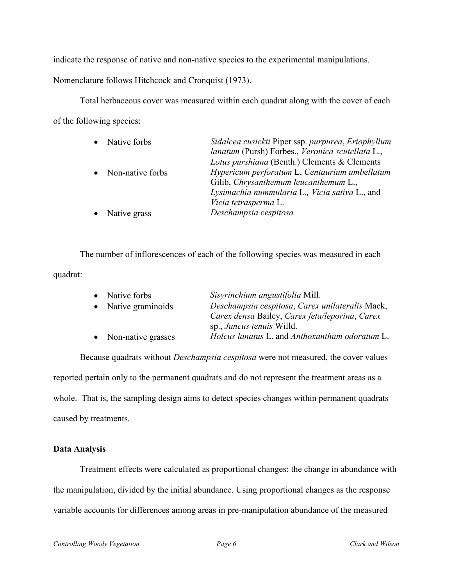indicate the response of native and non-native species to the experimental manipulations.

Nomenclature follows Hitchcock and Cronquist (1973).

 Total herbaceous cover was measured within each quadrat along with the cover of each of the following species:

| $\bullet$ | Native forbs       | Sidalcea cusickii Piper ssp. purpurea, Eriophyllum<br>lanatum (Pursh) Forbes., Veronica scutellata L., |
|-----------|--------------------|--------------------------------------------------------------------------------------------------------|
|           |                    | Lotus purshiana (Benth.) Clements & Clements                                                           |
|           | • Non-native forbs | Hypericum perforatum L, Centaurium umbellatum                                                          |
|           |                    | Gilib, Chrysanthemum leucanthemum L.,                                                                  |
|           |                    | Lysimachia nummularia L., Vicia sativa L., and                                                         |
|           |                    | Vicia tetrasperma L.                                                                                   |
| $\bullet$ | Native grass       | Deschampsia cespitosa                                                                                  |

 The number of inflorescences of each of the following species was measured in each quadrat:

| Sisyrinchium angustifolia Mill.                               |
|---------------------------------------------------------------|
| Deschampsia cespitosa, Carex unilateralis Mack,               |
| Carex densa Bailey, Carex feta/leporina, Carex                |
| sp., <i>Juncus tenuis</i> Willd.                              |
| Holcus lanatus L. and Anthoxanthum odoratum L.                |
| • Native forbs<br>• Native graminoids<br>• Non-native grasses |

 Because quadrats without *Deschampsia cespitosa* were not measured, the cover values reported pertain only to the permanent quadrats and do not represent the treatment areas as a whole. That is, the sampling design aims to detect species changes within permanent quadrats caused by treatments.

# **Data Analysis**

Treatment effects were calculated as proportional changes: the change in abundance with the manipulation, divided by the initial abundance. Using proportional changes as the response variable accounts for differences among areas in pre-manipulation abundance of the measured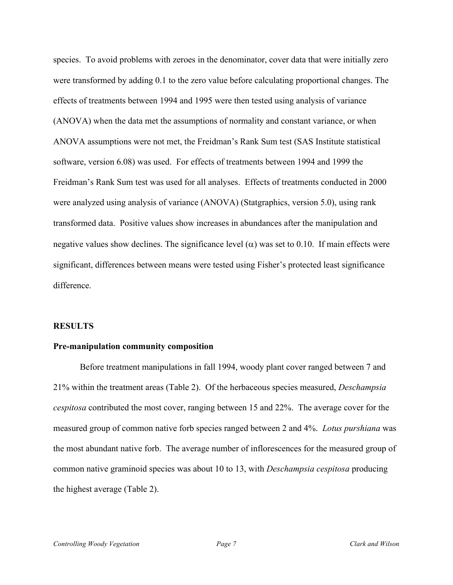species. To avoid problems with zeroes in the denominator, cover data that were initially zero were transformed by adding 0.1 to the zero value before calculating proportional changes. The effects of treatments between 1994 and 1995 were then tested using analysis of variance (ANOVA) when the data met the assumptions of normality and constant variance, or when ANOVA assumptions were not met, the Freidman's Rank Sum test (SAS Institute statistical software, version 6.08) was used. For effects of treatments between 1994 and 1999 the Freidman's Rank Sum test was used for all analyses. Effects of treatments conducted in 2000 were analyzed using analysis of variance (ANOVA) (Statgraphics, version 5.0), using rank transformed data. Positive values show increases in abundances after the manipulation and negative values show declines. The significance level ( $\alpha$ ) was set to 0.10. If main effects were significant, differences between means were tested using Fisher's protected least significance difference.

## **RESULTS**

#### **Pre-manipulation community composition**

 Before treatment manipulations in fall 1994, woody plant cover ranged between 7 and 21% within the treatment areas (Table 2). Of the herbaceous species measured, *Deschampsia cespitosa* contributed the most cover, ranging between 15 and 22%. The average cover for the measured group of common native forb species ranged between 2 and 4%. *Lotus purshiana* was the most abundant native forb. The average number of inflorescences for the measured group of common native graminoid species was about 10 to 13, with *Deschampsia cespitosa* producing the highest average (Table 2).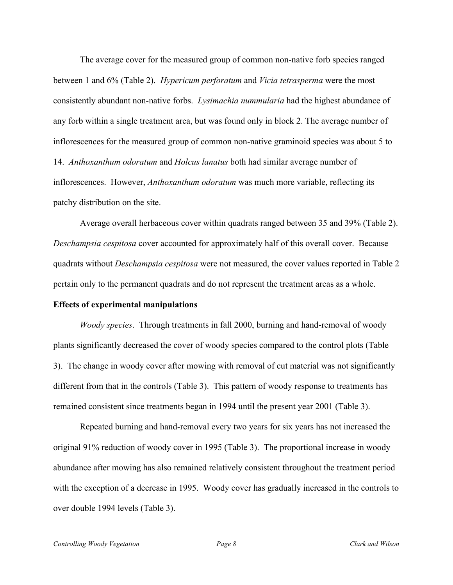The average cover for the measured group of common non-native forb species ranged between 1 and 6% (Table 2). *Hypericum perforatum* and *Vicia tetrasperma* were the most consistently abundant non-native forbs. *Lysimachia nummularia* had the highest abundance of any forb within a single treatment area, but was found only in block 2. The average number of inflorescences for the measured group of common non-native graminoid species was about 5 to 14. *Anthoxanthum odoratum* and *Holcus lanatus* both had similar average number of inflorescences. However, *Anthoxanthum odoratum* was much more variable, reflecting its patchy distribution on the site.

 Average overall herbaceous cover within quadrats ranged between 35 and 39% (Table 2). *Deschampsia cespitosa* cover accounted for approximately half of this overall cover. Because quadrats without *Deschampsia cespitosa* were not measured, the cover values reported in Table 2 pertain only to the permanent quadrats and do not represent the treatment areas as a whole.

# **Effects of experimental manipulations**

*Woody species*. Through treatments in fall 2000, burning and hand-removal of woody plants significantly decreased the cover of woody species compared to the control plots (Table 3). The change in woody cover after mowing with removal of cut material was not significantly different from that in the controls (Table 3). This pattern of woody response to treatments has remained consistent since treatments began in 1994 until the present year 2001 (Table 3).

Repeated burning and hand-removal every two years for six years has not increased the original 91% reduction of woody cover in 1995 (Table 3). The proportional increase in woody abundance after mowing has also remained relatively consistent throughout the treatment period with the exception of a decrease in 1995. Woody cover has gradually increased in the controls to over double 1994 levels (Table 3).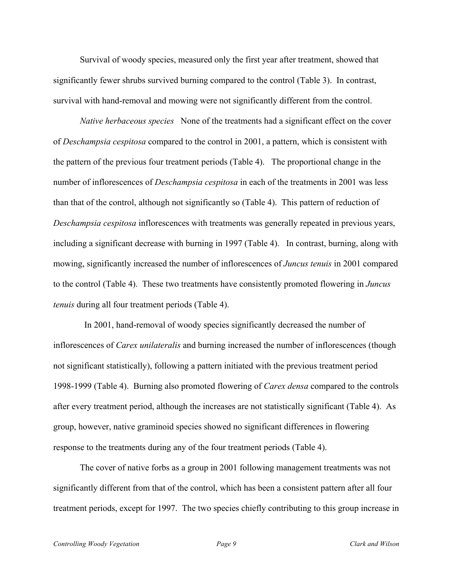Survival of woody species, measured only the first year after treatment, showed that significantly fewer shrubs survived burning compared to the control (Table 3). In contrast, survival with hand-removal and mowing were not significantly different from the control.

*Native herbaceous species* None of the treatments had a significant effect on the cover of *Deschampsia cespitosa* compared to the control in 2001, a pattern, which is consistent with the pattern of the previous four treatment periods (Table 4). The proportional change in the number of inflorescences of *Deschampsia cespitosa* in each of the treatments in 2001 was less than that of the control, although not significantly so (Table 4). This pattern of reduction of *Deschampsia cespitosa* inflorescences with treatments was generally repeated in previous years, including a significant decrease with burning in 1997 (Table 4). In contrast, burning, along with mowing, significantly increased the number of inflorescences of *Juncus tenuis* in 2001 compared to the control (Table 4). These two treatments have consistently promoted flowering in *Juncus tenuis* during all four treatment periods (Table 4).

 In 2001, hand-removal of woody species significantly decreased the number of inflorescences of *Carex unilateralis* and burning increased the number of inflorescences (though not significant statistically), following a pattern initiated with the previous treatment period 1998-1999 (Table 4). Burning also promoted flowering of *Carex densa* compared to the controls after every treatment period, although the increases are not statistically significant (Table 4). As group, however, native graminoid species showed no significant differences in flowering response to the treatments during any of the four treatment periods (Table 4).

The cover of native forbs as a group in 2001 following management treatments was not significantly different from that of the control, which has been a consistent pattern after all four treatment periods, except for 1997. The two species chiefly contributing to this group increase in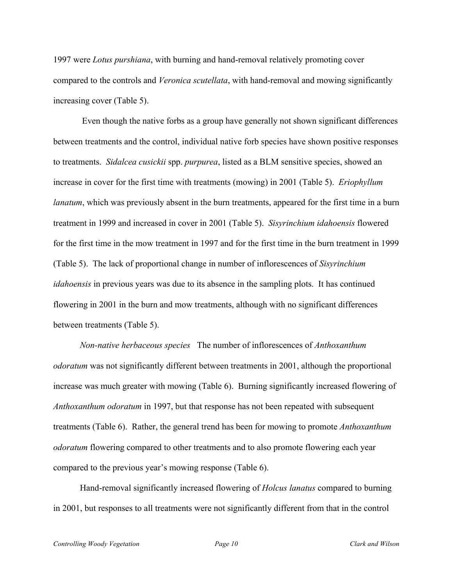1997 were *Lotus purshiana*, with burning and hand-removal relatively promoting cover compared to the controls and *Veronica scutellata*, with hand-removal and mowing significantly increasing cover (Table 5).

 Even though the native forbs as a group have generally not shown significant differences between treatments and the control, individual native forb species have shown positive responses to treatments. *Sidalcea cusickii* spp. *purpurea*, listed as a BLM sensitive species, showed an increase in cover for the first time with treatments (mowing) in 2001 (Table 5). *Eriophyllum lanatum*, which was previously absent in the burn treatments, appeared for the first time in a burn treatment in 1999 and increased in cover in 2001 (Table 5). *Sisyrinchium idahoensis* flowered for the first time in the mow treatment in 1997 and for the first time in the burn treatment in 1999 (Table 5). The lack of proportional change in number of inflorescences of *Sisyrinchium idahoensis* in previous years was due to its absence in the sampling plots. It has continued flowering in 2001 in the burn and mow treatments, although with no significant differences between treatments (Table 5).

*Non-native herbaceous species* The number of inflorescences of *Anthoxanthum odoratum* was not significantly different between treatments in 2001, although the proportional increase was much greater with mowing (Table 6). Burning significantly increased flowering of *Anthoxanthum odoratum* in 1997, but that response has not been repeated with subsequent treatments (Table 6). Rather, the general trend has been for mowing to promote *Anthoxanthum odoratum* flowering compared to other treatments and to also promote flowering each year compared to the previous year's mowing response (Table 6).

Hand-removal significantly increased flowering of *Holcus lanatus* compared to burning in 2001, but responses to all treatments were not significantly different from that in the control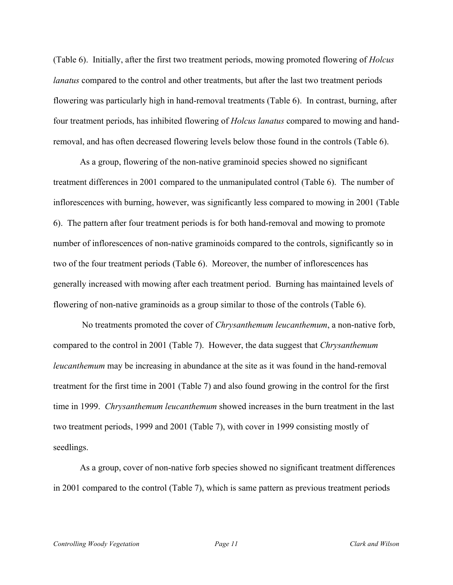(Table 6). Initially, after the first two treatment periods, mowing promoted flowering of *Holcus lanatus* compared to the control and other treatments, but after the last two treatment periods flowering was particularly high in hand-removal treatments (Table 6). In contrast, burning, after four treatment periods, has inhibited flowering of *Holcus lanatus* compared to mowing and handremoval, and has often decreased flowering levels below those found in the controls (Table 6).

As a group, flowering of the non-native graminoid species showed no significant treatment differences in 2001 compared to the unmanipulated control (Table 6). The number of inflorescences with burning, however, was significantly less compared to mowing in 2001 (Table 6). The pattern after four treatment periods is for both hand-removal and mowing to promote number of inflorescences of non-native graminoids compared to the controls, significantly so in two of the four treatment periods (Table 6). Moreover, the number of inflorescences has generally increased with mowing after each treatment period. Burning has maintained levels of flowering of non-native graminoids as a group similar to those of the controls (Table 6).

 No treatments promoted the cover of *Chrysanthemum leucanthemum*, a non-native forb, compared to the control in 2001 (Table 7). However, the data suggest that *Chrysanthemum leucanthemum* may be increasing in abundance at the site as it was found in the hand-removal treatment for the first time in 2001 (Table 7) and also found growing in the control for the first time in 1999. *Chrysanthemum leucanthemum* showed increases in the burn treatment in the last two treatment periods, 1999 and 2001 (Table 7), with cover in 1999 consisting mostly of seedlings.

As a group, cover of non-native forb species showed no significant treatment differences in 2001 compared to the control (Table 7), which is same pattern as previous treatment periods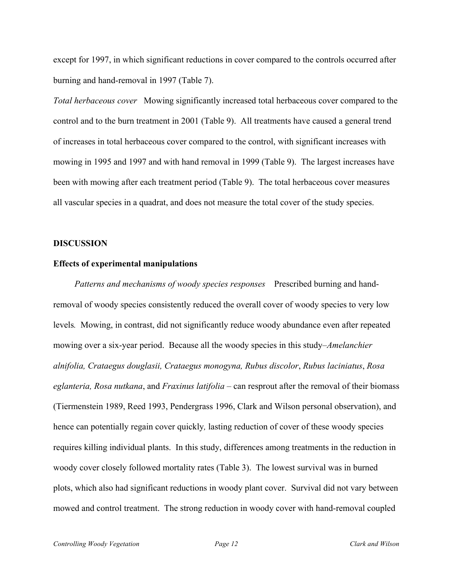except for 1997, in which significant reductions in cover compared to the controls occurred after burning and hand-removal in 1997 (Table 7).

*Total herbaceous cover* Mowing significantly increased total herbaceous cover compared to the control and to the burn treatment in 2001 (Table 9). All treatments have caused a general trend of increases in total herbaceous cover compared to the control, with significant increases with mowing in 1995 and 1997 and with hand removal in 1999 (Table 9). The largest increases have been with mowing after each treatment period (Table 9). The total herbaceous cover measures all vascular species in a quadrat, and does not measure the total cover of the study species.

### **DISCUSSION**

#### **Effects of experimental manipulations**

 *Patterns and mechanisms of woody species responses* Prescribed burning and handremoval of woody species consistently reduced the overall cover of woody species to very low levels*.* Mowing, in contrast, did not significantly reduce woody abundance even after repeated mowing over a six-year period.Because all the woody species in this study–*Amelanchier alnifolia, Crataegus douglasii, Crataegus monogyna, Rubus discolor*, *Rubus laciniatus*, *Rosa eglanteria, Rosa nutkana*, and *Fraxinus latifolia* – can resprout after the removal of their biomass (Tiermenstein 1989, Reed 1993, Pendergrass 1996, Clark and Wilson personal observation), and hence can potentially regain cover quickly*,* lasting reduction of cover of these woody species requires killing individual plants. In this study, differences among treatments in the reduction in woody cover closely followed mortality rates (Table 3). The lowest survival was in burned plots, which also had significant reductions in woody plant cover. Survival did not vary between mowed and control treatment. The strong reduction in woody cover with hand-removal coupled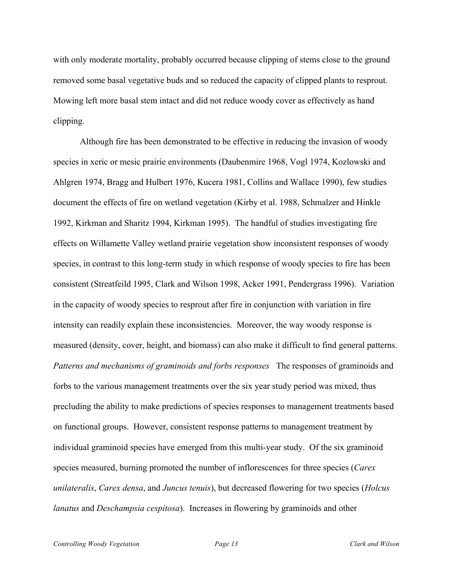with only moderate mortality, probably occurred because clipping of stems close to the ground removed some basal vegetative buds and so reduced the capacity of clipped plants to resprout. Mowing left more basal stem intact and did not reduce woody cover as effectively as hand clipping.

Although fire has been demonstrated to be effective in reducing the invasion of woody species in xeric or mesic prairie environments (Daubenmire 1968, Vogl 1974, Kozlowski and Ahlgren 1974, Bragg and Hulbert 1976, Kucera 1981, Collins and Wallace 1990), few studies document the effects of fire on wetland vegetation (Kirby et al. 1988, Schmalzer and Hinkle 1992, Kirkman and Sharitz 1994, Kirkman 1995). The handful of studies investigating fire effects on Willamette Valley wetland prairie vegetation show inconsistent responses of woody species, in contrast to this long-term study in which response of woody species to fire has been consistent (Streatfeild 1995, Clark and Wilson 1998, Acker 1991, Pendergrass 1996). Variation in the capacity of woody species to resprout after fire in conjunction with variation in fire intensity can readily explain these inconsistencies. Moreover, the way woody response is measured (density, cover, height, and biomass) can also make it difficult to find general patterns. *Patterns and mechanisms of graminoids and forbs responses* The responses of graminoids and forbs to the various management treatments over the six year study period was mixed, thus precluding the ability to make predictions of species responses to management treatments based on functional groups. However, consistent response patterns to management treatment by individual graminoid species have emerged from this multi-year study. Of the six graminoid species measured, burning promoted the number of inflorescences for three species (*Carex unilateralis*, *Carex densa*, and *Juncus tenuis*), but decreased flowering for two species (*Holcus lanatus* and *Deschampsia cespitosa*). Increases in flowering by graminoids and other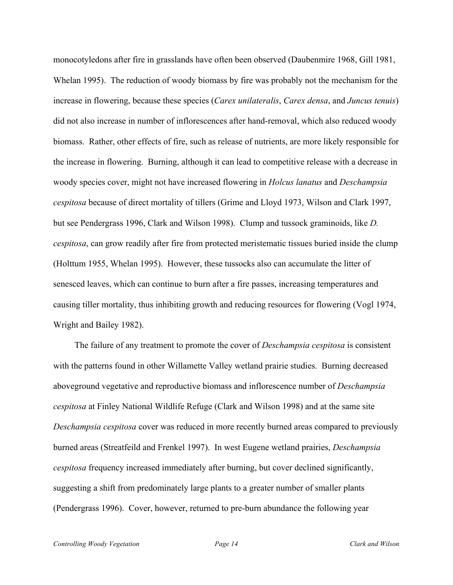monocotyledons after fire in grasslands have often been observed (Daubenmire 1968, Gill 1981, Whelan 1995). The reduction of woody biomass by fire was probably not the mechanism for the increase in flowering, because these species (*Carex unilateralis*, *Carex densa*, and *Juncus tenuis*) did not also increase in number of inflorescences after hand-removal, which also reduced woody biomass. Rather, other effects of fire, such as release of nutrients, are more likely responsible for the increase in flowering. Burning, although it can lead to competitive release with a decrease in woody species cover, might not have increased flowering in *Holcus lanatus* and *Deschampsia cespitosa* because of direct mortality of tillers (Grime and Lloyd 1973, Wilson and Clark 1997, but see Pendergrass 1996, Clark and Wilson 1998). Clump and tussock graminoids, like *D. cespitosa*, can grow readily after fire from protected meristematic tissues buried inside the clump (Holttum 1955, Whelan 1995). However, these tussocks also can accumulate the litter of senesced leaves, which can continue to burn after a fire passes, increasing temperatures and causing tiller mortality, thus inhibiting growth and reducing resources for flowering (Vogl 1974, Wright and Bailey 1982).

The failure of any treatment to promote the cover of *Deschampsia cespitosa* is consistent with the patterns found in other Willamette Valley wetland prairie studies. Burning decreased aboveground vegetative and reproductive biomass and inflorescence number of *Deschampsia cespitosa* at Finley National Wildlife Refuge (Clark and Wilson 1998) and at the same site *Deschampsia cespitosa* cover was reduced in more recently burned areas compared to previously burned areas (Streatfeild and Frenkel 1997). In west Eugene wetland prairies, *Deschampsia cespitosa* frequency increased immediately after burning, but cover declined significantly, suggesting a shift from predominately large plants to a greater number of smaller plants (Pendergrass 1996). Cover, however, returned to pre-burn abundance the following year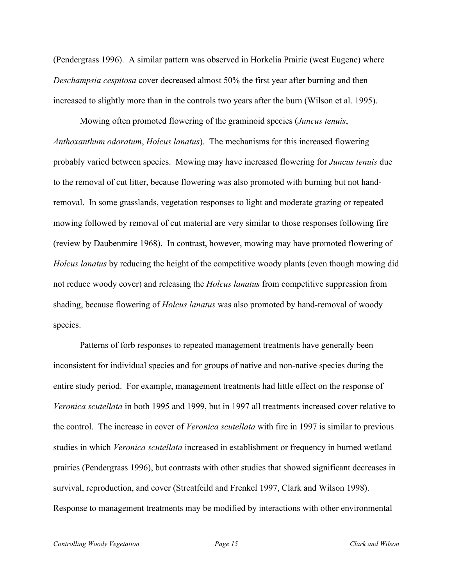(Pendergrass 1996). A similar pattern was observed in Horkelia Prairie (west Eugene) where *Deschampsia cespitosa* cover decreased almost 50% the first year after burning and then increased to slightly more than in the controls two years after the burn (Wilson et al. 1995).

Mowing often promoted flowering of the graminoid species (*Juncus tenuis*, *Anthoxanthum odoratum*, *Holcus lanatus*). The mechanisms for this increased flowering probably varied between species. Mowing may have increased flowering for *Juncus tenuis* due to the removal of cut litter, because flowering was also promoted with burning but not handremoval. In some grasslands, vegetation responses to light and moderate grazing or repeated mowing followed by removal of cut material are very similar to those responses following fire (review by Daubenmire 1968). In contrast, however, mowing may have promoted flowering of *Holcus lanatus* by reducing the height of the competitive woody plants (even though mowing did not reduce woody cover) and releasing the *Holcus lanatus* from competitive suppression from shading, because flowering of *Holcus lanatus* was also promoted by hand-removal of woody species.

Patterns of forb responses to repeated management treatments have generally been inconsistent for individual species and for groups of native and non-native species during the entire study period. For example, management treatments had little effect on the response of *Veronica scutellata* in both 1995 and 1999, but in 1997 all treatments increased cover relative to the control. The increase in cover of *Veronica scutellata* with fire in 1997 is similar to previous studies in which *Veronica scutellata* increased in establishment or frequency in burned wetland prairies (Pendergrass 1996), but contrasts with other studies that showed significant decreases in survival, reproduction, and cover (Streatfeild and Frenkel 1997, Clark and Wilson 1998). Response to management treatments may be modified by interactions with other environmental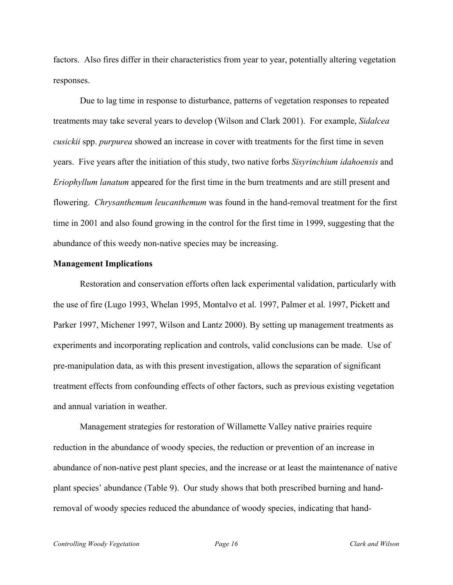factors. Also fires differ in their characteristics from year to year, potentially altering vegetation responses.

Due to lag time in response to disturbance, patterns of vegetation responses to repeated treatments may take several years to develop (Wilson and Clark 2001). For example, *Sidalcea cusickii* spp. *purpurea* showed an increase in cover with treatments for the first time in seven years. Five years after the initiation of this study, two native forbs *Sisyrinchium idahoensis* and *Eriophyllum lanatum* appeared for the first time in the burn treatments and are still present and flowering. *Chrysanthemum leucanthemum* was found in the hand-removal treatment for the first time in 2001 and also found growing in the control for the first time in 1999, suggesting that the abundance of this weedy non-native species may be increasing.

## **Management Implications**

Restoration and conservation efforts often lack experimental validation, particularly with the use of fire (Lugo 1993, Whelan 1995, Montalvo et al. 1997, Palmer et al. 1997, Pickett and Parker 1997, Michener 1997, Wilson and Lantz 2000). By setting up management treatments as experiments and incorporating replication and controls, valid conclusions can be made. Use of pre-manipulation data, as with this present investigation, allows the separation of significant treatment effects from confounding effects of other factors, such as previous existing vegetation and annual variation in weather.

Management strategies for restoration of Willamette Valley native prairies require reduction in the abundance of woody species, the reduction or prevention of an increase in abundance of non-native pest plant species, and the increase or at least the maintenance of native plant species' abundance (Table 9). Our study shows that both prescribed burning and handremoval of woody species reduced the abundance of woody species, indicating that hand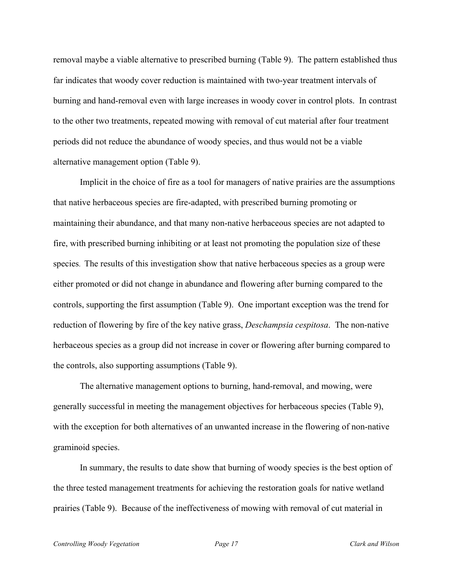removal maybe a viable alternative to prescribed burning (Table 9). The pattern established thus far indicates that woody cover reduction is maintained with two-year treatment intervals of burning and hand-removal even with large increases in woody cover in control plots. In contrast to the other two treatments, repeated mowing with removal of cut material after four treatment periods did not reduce the abundance of woody species, and thus would not be a viable alternative management option (Table 9).

Implicit in the choice of fire as a tool for managers of native prairies are the assumptions that native herbaceous species are fire-adapted, with prescribed burning promoting or maintaining their abundance, and that many non-native herbaceous species are not adapted to fire, with prescribed burning inhibiting or at least not promoting the population size of these species. The results of this investigation show that native herbaceous species as a group were either promoted or did not change in abundance and flowering after burning compared to the controls, supporting the first assumption (Table 9). One important exception was the trend for reduction of flowering by fire of the key native grass, *Deschampsia cespitosa*. The non-native herbaceous species as a group did not increase in cover or flowering after burning compared to the controls, also supporting assumptions (Table 9).

The alternative management options to burning, hand-removal, and mowing, were generally successful in meeting the management objectives for herbaceous species (Table 9), with the exception for both alternatives of an unwanted increase in the flowering of non-native graminoid species.

In summary, the results to date show that burning of woody species is the best option of the three tested management treatments for achieving the restoration goals for native wetland prairies (Table 9). Because of the ineffectiveness of mowing with removal of cut material in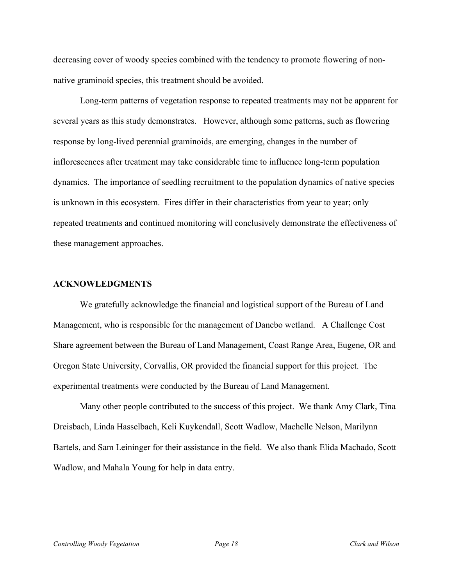decreasing cover of woody species combined with the tendency to promote flowering of nonnative graminoid species, this treatment should be avoided.

Long-term patterns of vegetation response to repeated treatments may not be apparent for several years as this study demonstrates. However, although some patterns, such as flowering response by long-lived perennial graminoids, are emerging, changes in the number of inflorescences after treatment may take considerable time to influence long-term population dynamics. The importance of seedling recruitment to the population dynamics of native species is unknown in this ecosystem. Fires differ in their characteristics from year to year; only repeated treatments and continued monitoring will conclusively demonstrate the effectiveness of these management approaches.

## **ACKNOWLEDGMENTS**

We gratefully acknowledge the financial and logistical support of the Bureau of Land Management, who is responsible for the management of Danebo wetland. A Challenge Cost Share agreement between the Bureau of Land Management, Coast Range Area, Eugene, OR and Oregon State University, Corvallis, OR provided the financial support for this project. The experimental treatments were conducted by the Bureau of Land Management.

Many other people contributed to the success of this project. We thank Amy Clark, Tina Dreisbach, Linda Hasselbach, Keli Kuykendall, Scott Wadlow, Machelle Nelson, Marilynn Bartels, and Sam Leininger for their assistance in the field. We also thank Elida Machado, Scott Wadlow, and Mahala Young for help in data entry.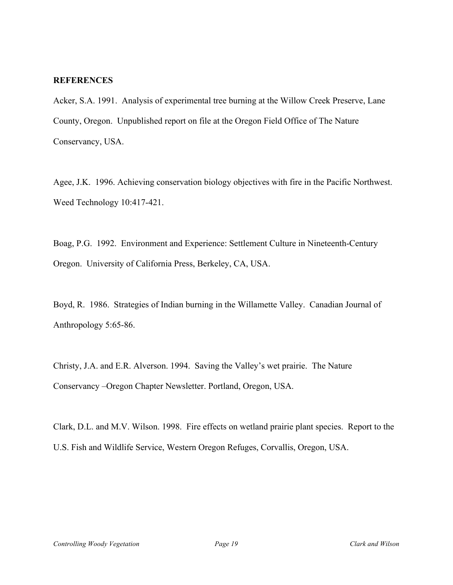## **REFERENCES**

Acker, S.A. 1991. Analysis of experimental tree burning at the Willow Creek Preserve, Lane County, Oregon. Unpublished report on file at the Oregon Field Office of The Nature Conservancy, USA.

Agee, J.K. 1996. Achieving conservation biology objectives with fire in the Pacific Northwest. Weed Technology 10:417-421.

Boag, P.G. 1992. Environment and Experience: Settlement Culture in Nineteenth-Century Oregon. University of California Press, Berkeley, CA, USA.

Boyd, R. 1986. Strategies of Indian burning in the Willamette Valley. Canadian Journal of Anthropology 5:65-86.

Christy, J.A. and E.R. Alverson. 1994. Saving the Valley's wet prairie. The Nature Conservancy –Oregon Chapter Newsletter. Portland, Oregon, USA.

Clark, D.L. and M.V. Wilson. 1998. Fire effects on wetland prairie plant species. Report to the U.S. Fish and Wildlife Service, Western Oregon Refuges, Corvallis, Oregon, USA.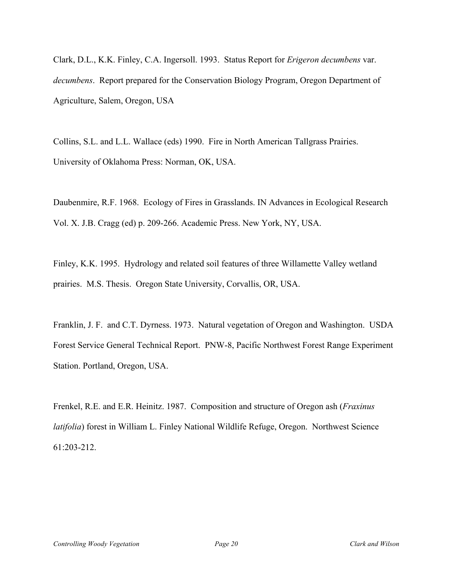Clark, D.L., K.K. Finley, C.A. Ingersoll. 1993. Status Report for *Erigeron decumbens* var. *decumbens*. Report prepared for the Conservation Biology Program, Oregon Department of Agriculture, Salem, Oregon, USA

Collins, S.L. and L.L. Wallace (eds) 1990. Fire in North American Tallgrass Prairies. University of Oklahoma Press: Norman, OK, USA.

Daubenmire, R.F. 1968. Ecology of Fires in Grasslands. IN Advances in Ecological Research Vol. X. J.B. Cragg (ed) p. 209-266. Academic Press. New York, NY, USA.

Finley, K.K. 1995. Hydrology and related soil features of three Willamette Valley wetland prairies. M.S. Thesis. Oregon State University, Corvallis, OR, USA.

Franklin, J. F. and C.T. Dyrness. 1973. Natural vegetation of Oregon and Washington. USDA Forest Service General Technical Report. PNW-8, Pacific Northwest Forest Range Experiment Station. Portland, Oregon, USA.

Frenkel, R.E. and E.R. Heinitz. 1987. Composition and structure of Oregon ash (*Fraxinus latifolia*) forest in William L. Finley National Wildlife Refuge, Oregon. Northwest Science 61:203-212.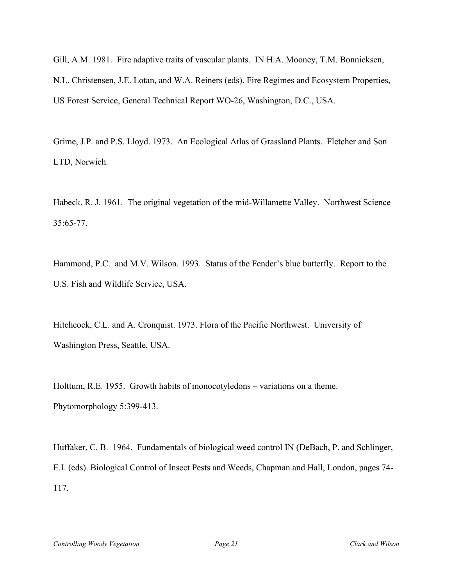Gill, A.M. 1981. Fire adaptive traits of vascular plants. IN H.A. Mooney, T.M. Bonnicksen, N.L. Christensen, J.E. Lotan, and W.A. Reiners (eds). Fire Regimes and Ecosystem Properties, US Forest Service, General Technical Report WO-26, Washington, D.C., USA.

Grime, J.P. and P.S. Lloyd. 1973. An Ecological Atlas of Grassland Plants. Fletcher and Son LTD, Norwich.

Habeck, R. J. 1961. The original vegetation of the mid-Willamette Valley. Northwest Science 35:65-77.

Hammond, P.C. and M.V. Wilson. 1993. Status of the Fender's blue butterfly. Report to the U.S. Fish and Wildlife Service, USA.

Hitchcock, C.L. and A. Cronquist. 1973. Flora of the Pacific Northwest. University of Washington Press, Seattle, USA.

Holttum, R.E. 1955. Growth habits of monocotyledons – variations on a theme. Phytomorphology 5:399-413.

Huffaker, C. B. 1964. Fundamentals of biological weed control IN (DeBach, P. and Schlinger, E.I. (eds). Biological Control of Insect Pests and Weeds, Chapman and Hall, London, pages 74- 117.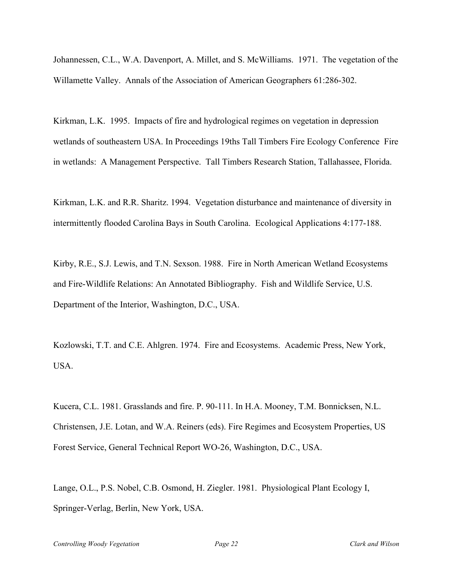Johannessen, C.L., W.A. Davenport, A. Millet, and S. McWilliams. 1971. The vegetation of the Willamette Valley. Annals of the Association of American Geographers 61:286-302.

Kirkman, L.K. 1995. Impacts of fire and hydrological regimes on vegetation in depression wetlands of southeastern USA. In Proceedings 19ths Tall Timbers Fire Ecology Conference Fire in wetlands: A Management Perspective. Tall Timbers Research Station, Tallahassee, Florida.

Kirkman, L.K. and R.R. Sharitz. 1994. Vegetation disturbance and maintenance of diversity in intermittently flooded Carolina Bays in South Carolina. Ecological Applications 4:177-188.

Kirby, R.E., S.J. Lewis, and T.N. Sexson. 1988. Fire in North American Wetland Ecosystems and Fire-Wildlife Relations: An Annotated Bibliography. Fish and Wildlife Service, U.S. Department of the Interior, Washington, D.C., USA.

Kozlowski, T.T. and C.E. Ahlgren. 1974. Fire and Ecosystems. Academic Press, New York, USA.

Kucera, C.L. 1981. Grasslands and fire. P. 90-111. In H.A. Mooney, T.M. Bonnicksen, N.L. Christensen, J.E. Lotan, and W.A. Reiners (eds). Fire Regimes and Ecosystem Properties, US Forest Service, General Technical Report WO-26, Washington, D.C., USA.

Lange, O.L., P.S. Nobel, C.B. Osmond, H. Ziegler. 1981. Physiological Plant Ecology I, Springer-Verlag, Berlin, New York, USA.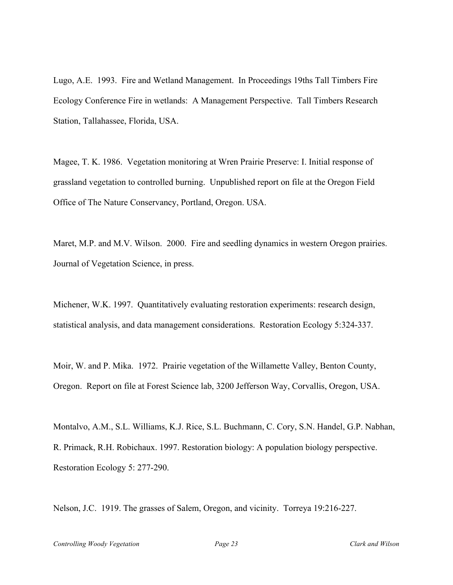Lugo, A.E. 1993. Fire and Wetland Management. In Proceedings 19ths Tall Timbers Fire Ecology Conference Fire in wetlands: A Management Perspective. Tall Timbers Research Station, Tallahassee, Florida, USA.

Magee, T. K. 1986. Vegetation monitoring at Wren Prairie Preserve: I. Initial response of grassland vegetation to controlled burning. Unpublished report on file at the Oregon Field Office of The Nature Conservancy, Portland, Oregon. USA.

Maret, M.P. and M.V. Wilson. 2000. Fire and seedling dynamics in western Oregon prairies. Journal of Vegetation Science, in press.

Michener, W.K. 1997. Quantitatively evaluating restoration experiments: research design, statistical analysis, and data management considerations. Restoration Ecology 5:324-337.

Moir, W. and P. Mika. 1972. Prairie vegetation of the Willamette Valley, Benton County, Oregon. Report on file at Forest Science lab, 3200 Jefferson Way, Corvallis, Oregon, USA.

Montalvo, A.M., S.L. Williams, K.J. Rice, S.L. Buchmann, C. Cory, S.N. Handel, G.P. Nabhan, R. Primack, R.H. Robichaux. 1997. Restoration biology: A population biology perspective. Restoration Ecology 5: 277-290.

Nelson, J.C. 1919. The grasses of Salem, Oregon, and vicinity. Torreya 19:216-227.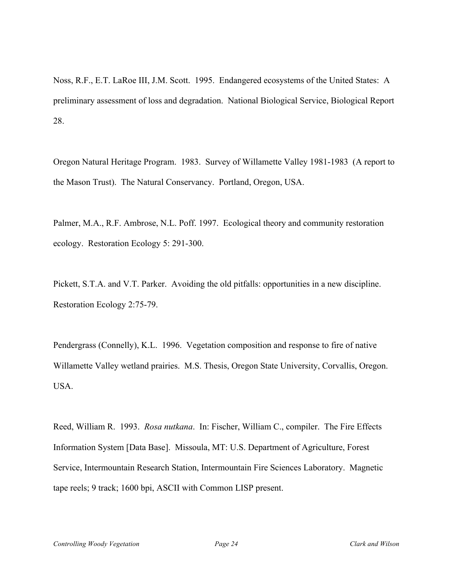Noss, R.F., E.T. LaRoe III, J.M. Scott. 1995. Endangered ecosystems of the United States: A preliminary assessment of loss and degradation. National Biological Service, Biological Report 28.

Oregon Natural Heritage Program. 1983. Survey of Willamette Valley 1981-1983 (A report to the Mason Trust). The Natural Conservancy. Portland, Oregon, USA.

Palmer, M.A., R.F. Ambrose, N.L. Poff. 1997. Ecological theory and community restoration ecology. Restoration Ecology 5: 291-300.

Pickett, S.T.A. and V.T. Parker. Avoiding the old pitfalls: opportunities in a new discipline. Restoration Ecology 2:75-79.

Pendergrass (Connelly), K.L. 1996. Vegetation composition and response to fire of native Willamette Valley wetland prairies. M.S. Thesis, Oregon State University, Corvallis, Oregon. USA.

Reed, William R. 1993. *Rosa nutkana*. In: Fischer, William C., compiler. The Fire Effects Information System [Data Base]. Missoula, MT: U.S. Department of Agriculture, Forest Service, Intermountain Research Station, Intermountain Fire Sciences Laboratory. Magnetic tape reels; 9 track; 1600 bpi, ASCII with Common LISP present.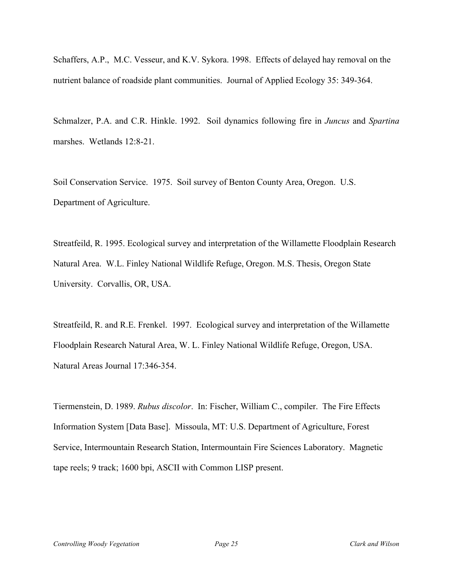Schaffers, A.P., M.C. Vesseur, and K.V. Sykora. 1998. Effects of delayed hay removal on the nutrient balance of roadside plant communities. Journal of Applied Ecology 35: 349-364.

Schmalzer, P.A. and C.R. Hinkle. 1992. Soil dynamics following fire in *Juncus* and *Spartina* marshes. Wetlands 12:8-21.

Soil Conservation Service. 1975. Soil survey of Benton County Area, Oregon. U.S. Department of Agriculture.

Streatfeild, R. 1995. Ecological survey and interpretation of the Willamette Floodplain Research Natural Area. W.L. Finley National Wildlife Refuge, Oregon. M.S. Thesis, Oregon State University. Corvallis, OR, USA.

Streatfeild, R. and R.E. Frenkel. 1997. Ecological survey and interpretation of the Willamette Floodplain Research Natural Area, W. L. Finley National Wildlife Refuge, Oregon, USA. Natural Areas Journal 17:346-354.

Tiermenstein, D. 1989. *Rubus discolor*. In: Fischer, William C., compiler. The Fire Effects Information System [Data Base]. Missoula, MT: U.S. Department of Agriculture, Forest Service, Intermountain Research Station, Intermountain Fire Sciences Laboratory. Magnetic tape reels; 9 track; 1600 bpi, ASCII with Common LISP present.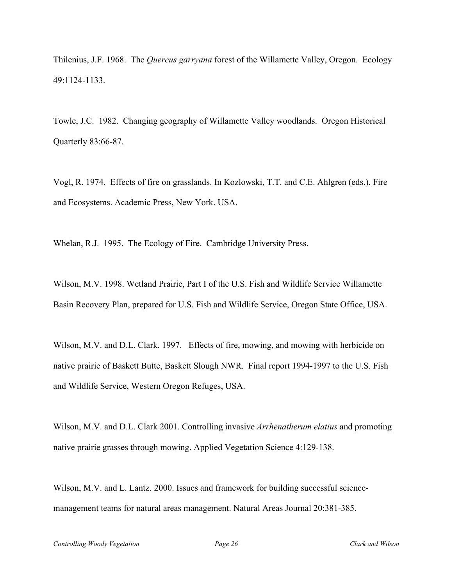Thilenius, J.F. 1968. The *Quercus garryana* forest of the Willamette Valley, Oregon. Ecology 49:1124-1133.

Towle, J.C. 1982. Changing geography of Willamette Valley woodlands. Oregon Historical Quarterly 83:66-87.

Vogl, R. 1974. Effects of fire on grasslands. In Kozlowski, T.T. and C.E. Ahlgren (eds.). Fire and Ecosystems. Academic Press, New York. USA.

Whelan, R.J. 1995. The Ecology of Fire. Cambridge University Press.

Wilson, M.V. 1998. Wetland Prairie, Part I of the U.S. Fish and Wildlife Service Willamette Basin Recovery Plan, prepared for U.S. Fish and Wildlife Service, Oregon State Office, USA.

Wilson, M.V. and D.L. Clark. 1997. Effects of fire, mowing, and mowing with herbicide on native prairie of Baskett Butte, Baskett Slough NWR. Final report 1994-1997 to the U.S. Fish and Wildlife Service, Western Oregon Refuges, USA.

Wilson, M.V. and D.L. Clark 2001. Controlling invasive *Arrhenatherum elatius* and promoting native prairie grasses through mowing. Applied Vegetation Science 4:129-138.

Wilson, M.V. and L. Lantz. 2000. Issues and framework for building successful sciencemanagement teams for natural areas management. Natural Areas Journal 20:381-385.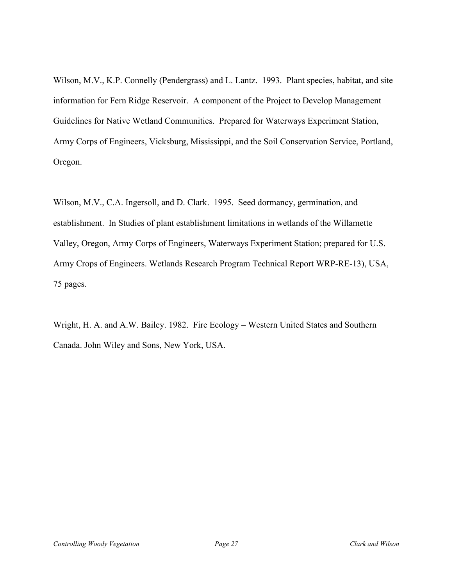Wilson, M.V., K.P. Connelly (Pendergrass) and L. Lantz. 1993. Plant species, habitat, and site information for Fern Ridge Reservoir. A component of the Project to Develop Management Guidelines for Native Wetland Communities. Prepared for Waterways Experiment Station, Army Corps of Engineers, Vicksburg, Mississippi, and the Soil Conservation Service, Portland, Oregon.

Wilson, M.V., C.A. Ingersoll, and D. Clark. 1995. Seed dormancy, germination, and establishment. In Studies of plant establishment limitations in wetlands of the Willamette Valley, Oregon, Army Corps of Engineers, Waterways Experiment Station; prepared for U.S. Army Crops of Engineers. Wetlands Research Program Technical Report WRP-RE-13), USA, 75 pages.

Wright, H. A. and A.W. Bailey. 1982. Fire Ecology – Western United States and Southern Canada. John Wiley and Sons, New York, USA.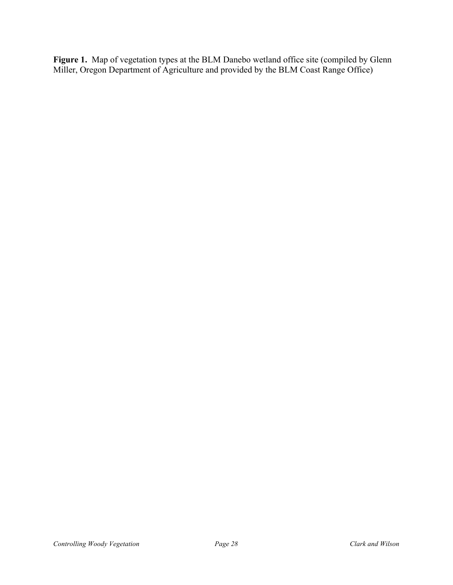Figure 1. Map of vegetation types at the BLM Danebo wetland office site (compiled by Glenn Miller, Oregon Department of Agriculture and provided by the BLM Coast Range Office)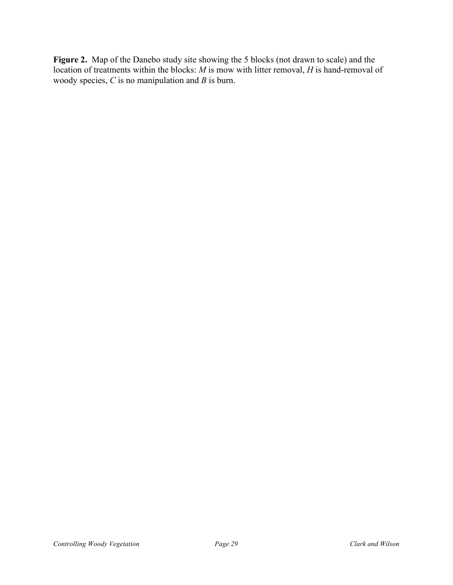**Figure 2.** Map of the Danebo study site showing the 5 blocks (not drawn to scale) and the location of treatments within the blocks: *M* is mow with litter removal, *H* is hand-removal of woody species, *C* is no manipulation and *B* is burn.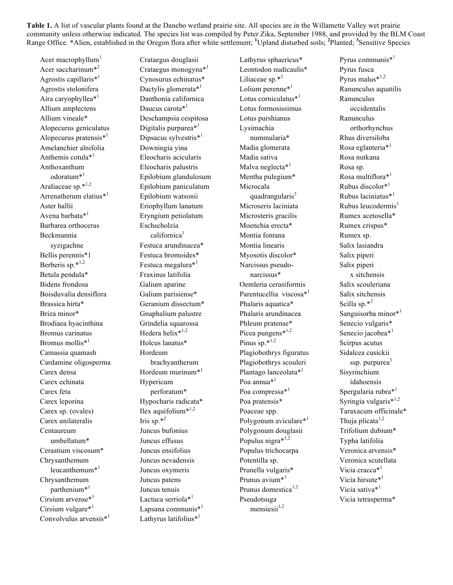**Table 1.** A list of vascular plants found at the Danebo wetland prairie site. All species are in the Willamette Valley wet prairie community unless otherwise indicated. The species list was compiled by Peter Zika, September 1988, and provided by the BLM Coast Range Office. **\***Alien, established in the Oregon flora after white settlement; **<sup>1</sup>** Upland disturbed soils; **<sup>2</sup>** Planted; **<sup>3</sup>** Sensitive Species

Acer macrophyllum $<sup>1</sup>$ </sup> Acer saccharinum\*<sup>2</sup> Agrostis capillaris\*<sup>1</sup> Agrostis stolonifera Aira caryophyllea<sup>\*1</sup> Allium amplectens Allium vineale\* Alopecurus geniculatus Alopecurus pratensis\*<sup>1</sup> Amelanchier alnifolia Anthemis cotula\*<sup>1</sup> Anthoxanthum odoratum\*<sup>1</sup> Araliaceae sp.\*1,2 Arrenatherum elatius<sup>\*1</sup> Aster hallii Avena barbata\*<sup>1</sup> Barbarea orthoceras Beckmannia syzigachne Bellis perennis\*1 Berberis sp. $*^{1,2}$ Betula pendula\* Bidens frondosa Boisduvalia densiflora Brassica hirta\* Briza minor\* Brodiaea hyacinthina Bromus carinatus Bromus mollis<sup>\*1</sup> Camassia quamash Cardamine oligosperma Carex densa Carex echinata Carex feta Carex leporina Carex sp. (ovales) Carex unilateralis Centaureum umbellatum\* Cerastium viscosum\* Chrysanthemum leucanthemum $*$ <sup>1</sup> Chrysanthemum parthenium $*^1$ Cirsium arvense\*<sup>1</sup> Cirsium vulgare\*<sup>1</sup> Convolvulus arvensis\*<sup>1</sup>

Crataegus douglasii Crataegus monogyna\*<sup>1</sup> Cynosurus echinatus\* Dactylis glomerata\*<sup>1</sup> Danthonia californica Daucus carota\*<sup>1</sup> Deschampsia cespitosa Digitalis purpurea<sup>\*1</sup> Dipsacus sylvestris<sup>\*1</sup> Downingia yina Eleocharis acicularis Eleocharis palustris Epilobium glandulosum Epilobium paniculatum Epilobium watsonii Eriophyllum lanatum Eryngium petiolatum Eschscholzia californica<sup>1</sup> Festuca arundinacea\* Festuca bromoides\* Festuca megalura\*<sup>1</sup> Fraxinus latifolia Galium aparine Galium parisiense\* Geranium dissectum\* Gnaphalium palustre Grindelia squarossa Hedera helix $*$ <sup>1,2</sup> Holcus lanatus\* Hordeum brachyantherum Hordeum murinum $*^1$ Hypericum perforatum\* Hypocharis radicata\* Ilex aquifolium $*$ <sup>1,2</sup> Iris sp. $*^2$ Juncus bufonius Juncus effusus Juncus ensifolius Juncus nevadensis Juncus oxymeris Juncus patens Juncus tenuis Lactuca serriola\*<sup>1</sup> Lapsana communis<sup>\*1</sup> Lathyrus latifolius<sup>\*1</sup>

Lathyrus sphaericus\* Leontodon nudicaulis\* Liliaceae sp. $*^2$ Lolium perenne $*$ <sup>1</sup> Lotus corniculatus<sup>\*1</sup> Lotus formosissimus Lotus purshianus Lysimachia nummularia\* Madia glomerata Madia sativa Malva neglecta<sup>\*1</sup> Mentha pulegium\* Microcala quadrangularis<sup>3</sup> Microseris laciniata Microsteris gracilis Moenchia erecta\* Montia fontana Montia linearis Myosotis discolor\* Narcissus pseudonarcissus\* Oemleria cerasiformis Parentucellia viscosa<sup>\*1</sup> Phalaris aquatica\* Phalaris arundinacea Phleum pratense\* Picea pungens $*^{1,2}$ Pinus sp. $*^{1,2}$ Plagiobothrys figuratus Plagiobothrys scouleri Plantago lanceolata\*<sup>1</sup> Poa annua<sup>\*1</sup> Poa compressa<sup>\*1</sup> Poa pratensis\* Poaceae spp. Polygonum aviculare\*<sup>1</sup> Polygonum douglasii Populus nigra\*1,2 Populus trichocarpa Potentilla sp. Prunella vulgaris\* Prunus avium<sup>\*1</sup> Prunus domestica<sup>1,2</sup> Pseudotsuga mensiesii $1,2$ 

Pyrus communis<sup>\*1</sup> Pyrus fusca Pyrus malus\*1,2 Ranunculus aquatilis Ranunculus occidentalis Ranunculus orthorhynchus Rhus diversiloba Rosa eglanteria<sup>\*1</sup> Rosa nutkana Rosa sp. Rosa multiflora\*<sup>1</sup> Rubus discolor\*<sup>1</sup> Rubus laciniatus\*<sup>1</sup> Rubus leucodermis $<sup>1</sup>$ </sup> Rumex acetosella\* Rumex crispus\* Rumex sp. Salix lasiandra Salix piperi Salix piperi x sitchensis Salix scouleriana Salix sitchensis Scilla sp. $*^2$ Sanguisorba minor\*<sup>1</sup> Senecio vulgaris\* Senecio jacobea<sup>\*1</sup> Scirpus acutus Sidalcea cusickii ssp. purpurea<sup>3</sup> Sisyrinchium idahoensis Spergularia rubra<sup>\*1</sup> Syringia vulgaris\*<sup>1,2</sup> Taraxacum officinale\* Thuja plicata $1,2$ Trifolium dubium\* Typha latifolia Veronica arvensis\* Veronica scutellata Vicia cracca<sup>\*1</sup> Vicia hirsute\*<sup>1</sup> Vicia sativa<sup>\*1</sup> Vicia tetrasperma\*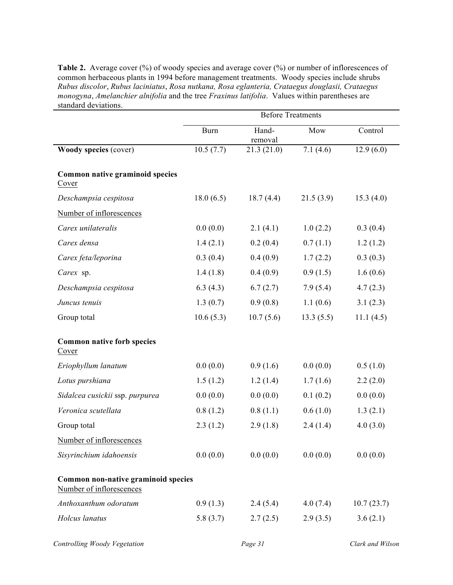**Table 2.** Average cover (%) of woody species and average cover (%) or number of inflorescences of common herbaceous plants in 1994 before management treatments. Woody species include shrubs *Rubus discolor*, *Rubus laciniatus*, *Rosa nutkana, Rosa eglanteria, Crataegus douglasii, Crataegus monogyna*, *Amelanchier alnifolia* and the tree *Fraxinus latifolia*. Values within parentheses are standard deviations.

|                                                                 | <b>Before Treatments</b> |                  |           |            |  |  |
|-----------------------------------------------------------------|--------------------------|------------------|-----------|------------|--|--|
|                                                                 | <b>Burn</b>              | Hand-<br>removal | Mow       | Control    |  |  |
| Woody species (cover)                                           | 10.5(7.7)                | 21.3(21.0)       | 7.1(4.6)  | 12.9(6.0)  |  |  |
| Common native graminoid species<br>Cover                        |                          |                  |           |            |  |  |
| Deschampsia cespitosa                                           | 18.0(6.5)                | 18.7(4.4)        | 21.5(3.9) | 15.3(4.0)  |  |  |
| Number of inflorescences                                        |                          |                  |           |            |  |  |
| Carex unilateralis                                              | 0.0(0.0)                 | 2.1(4.1)         | 1.0(2.2)  | 0.3(0.4)   |  |  |
| Carex densa                                                     | 1.4(2.1)                 | 0.2(0.4)         | 0.7(1.1)  | 1.2(1.2)   |  |  |
| Carex feta/leporina                                             | 0.3(0.4)                 | 0.4(0.9)         | 1.7(2.2)  | 0.3(0.3)   |  |  |
| Carex sp.                                                       | 1.4(1.8)                 | 0.4(0.9)         | 0.9(1.5)  | 1.6(0.6)   |  |  |
| Deschampsia cespitosa                                           | 6.3(4.3)                 | 6.7(2.7)         | 7.9(5.4)  | 4.7(2.3)   |  |  |
| Juncus tenuis                                                   | 1.3(0.7)                 | 0.9(0.8)         | 1.1(0.6)  | 3.1(2.3)   |  |  |
| Group total                                                     | 10.6(5.3)                | 10.7(5.6)        | 13.3(5.5) | 11.1(4.5)  |  |  |
| <b>Common native forb species</b><br>Cover                      |                          |                  |           |            |  |  |
| Eriophyllum lanatum                                             | 0.0(0.0)                 | 0.9(1.6)         | 0.0(0.0)  | 0.5(1.0)   |  |  |
| Lotus purshiana                                                 | 1.5(1.2)                 | 1.2(1.4)         | 1.7(1.6)  | 2.2(2.0)   |  |  |
| Sidalcea cusickii ssp. purpurea                                 | 0.0(0.0)                 | 0.0(0.0)         | 0.1(0.2)  | 0.0(0.0)   |  |  |
| Veronica scutellata                                             | 0.8(1.2)                 | 0.8(1.1)         | 0.6(1.0)  | 1.3(2.1)   |  |  |
| Group total                                                     | 2.3(1.2)                 | 2.9(1.8)         | 2.4(1.4)  | 4.0(3.0)   |  |  |
| Number of inflorescences                                        |                          |                  |           |            |  |  |
| Sisyrinchium idahoensis                                         | 0.0(0.0)                 | 0.0(0.0)         | 0.0(0.0)  | 0.0(0.0)   |  |  |
| Common non-native graminoid species<br>Number of inflorescences |                          |                  |           |            |  |  |
| Anthoxanthum odoratum                                           | 0.9(1.3)                 | 2.4(5.4)         | 4.0(7.4)  | 10.7(23.7) |  |  |
| Holcus lanatus                                                  | 5.8(3.7)                 | 2.7(2.5)         | 2.9(3.5)  | 3.6(2.1)   |  |  |
|                                                                 |                          |                  |           |            |  |  |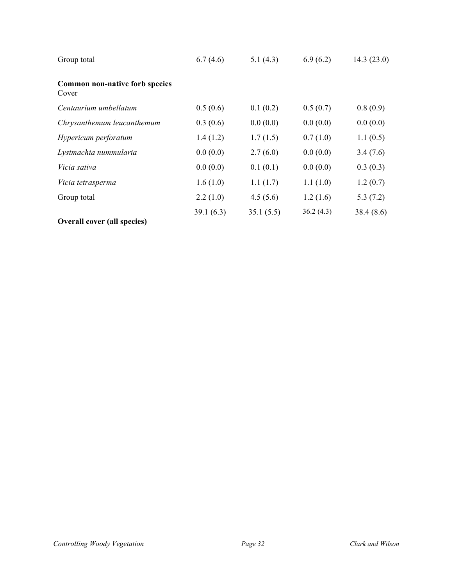| Group total                                    | 6.7(4.6)  | 5.1(4.3)  | 6.9(6.2)  | 14.3(23.0) |
|------------------------------------------------|-----------|-----------|-----------|------------|
| Common non-native forb species<br><u>Cover</u> |           |           |           |            |
| Centaurium umbellatum                          | 0.5(0.6)  | 0.1(0.2)  | 0.5(0.7)  | 0.8(0.9)   |
| Chrysanthemum leucanthemum                     | 0.3(0.6)  | 0.0(0.0)  | 0.0(0.0)  | 0.0(0.0)   |
| Hypericum perforatum                           | 1.4(1.2)  | 1.7(1.5)  | 0.7(1.0)  | 1.1(0.5)   |
| Lysimachia nummularia                          | 0.0(0.0)  | 2.7(6.0)  | 0.0(0.0)  | 3.4(7.6)   |
| Vicia sativa                                   | 0.0(0.0)  | 0.1(0.1)  | 0.0(0.0)  | 0.3(0.3)   |
| Vicia tetrasperma                              | 1.6(1.0)  | 1.1(1.7)  | 1.1(1.0)  | 1.2(0.7)   |
| Group total                                    | 2.2(1.0)  | 4.5(5.6)  | 1.2(1.6)  | 5.3(7.2)   |
|                                                | 39.1(6.3) | 35.1(5.5) | 36.2(4.3) | 38.4(8.6)  |
| <b>Overall cover (all species)</b>             |           |           |           |            |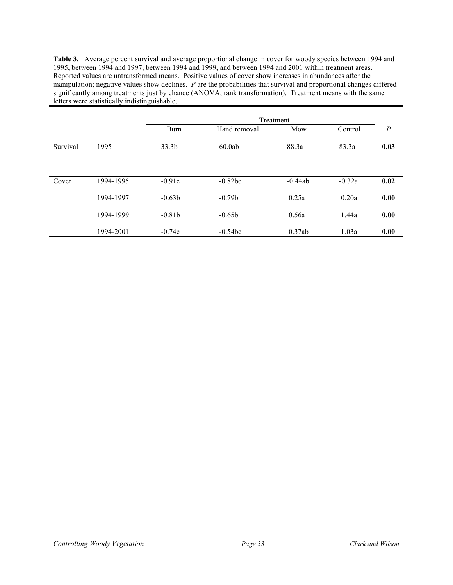**Table 3.** Average percent survival and average proportional change in cover for woody species between 1994 and 1995, between 1994 and 1997, between 1994 and 1999, and between 1994 and 2001 within treatment areas. Reported values are untransformed means. Positive values of cover show increases in abundances after the manipulation; negative values show declines. *P* are the probabilities that survival and proportional changes differed significantly among treatments just by chance (ANOVA, rank transformation). Treatment means with the same letters were statistically indistinguishable.

|          |           | Treatment         |              |           |          |                  |  |  |
|----------|-----------|-------------------|--------------|-----------|----------|------------------|--|--|
|          |           | <b>Burn</b>       | Hand removal | Mow       | Control  | $\boldsymbol{P}$ |  |  |
| Survival | 1995      | 33.3 <sub>b</sub> | 60.0ab       | 88.3a     | 83.3a    | 0.03             |  |  |
| Cover    | 1994-1995 | $-0.91c$          | $-0.82bc$    | $-0.44ab$ | $-0.32a$ | 0.02             |  |  |
|          | 1994-1997 | $-0.63b$          | $-0.79b$     | 0.25a     | 0.20a    | 0.00             |  |  |
|          | 1994-1999 | $-0.81b$          | $-0.65b$     | 0.56a     | 1.44a    | 0.00             |  |  |
|          | 1994-2001 | $-0.74c$          | $-0.54bc$    | 0.37ab    | 1.03a    | 0.00             |  |  |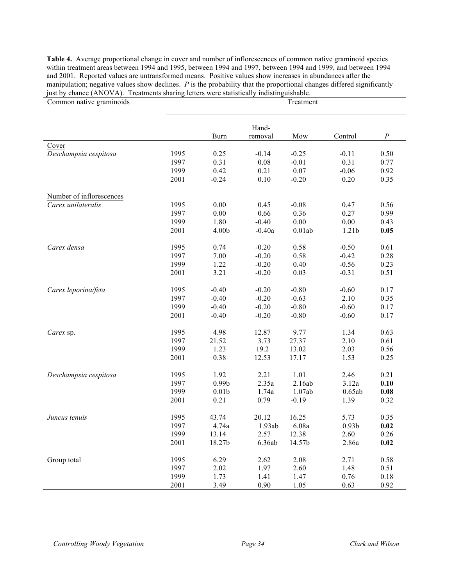**Table 4.** Average proportional change in cover and number of inflorescences of common native graminoid species within treatment areas between 1994 and 1995, between 1994 and 1997, between 1994 and 1999, and between 1994 and 2001. Reported values are untransformed means. Positive values show increases in abundances after the manipulation; negative values show declines. *P* is the probability that the proportional changes differed significantly just by chance (ANOVA). Treatments sharing letters were statistically indistinguishable.

| Common native graminoids | Treatment |                   |          |         |                   |                     |  |
|--------------------------|-----------|-------------------|----------|---------|-------------------|---------------------|--|
|                          |           |                   | Hand-    |         |                   |                     |  |
|                          |           | <b>Burn</b>       | removal  | Mow     | Control           | $\cal P$            |  |
| Cover                    |           |                   |          |         |                   |                     |  |
| Deschampsia cespitosa    | 1995      | 0.25              | $-0.14$  | $-0.25$ | $-0.11$           | 0.50                |  |
|                          | 1997      | 0.31              | 0.08     | $-0.01$ | 0.31              | 0.77                |  |
|                          | 1999      | 0.42              | 0.21     | 0.07    | $-0.06$           | 0.92                |  |
|                          | 2001      | $-0.24$           | 0.10     | $-0.20$ | 0.20              | 0.35                |  |
| Number of inflorescences |           |                   |          |         |                   |                     |  |
| Carex unilateralis       | 1995      | 0.00              | 0.45     | $-0.08$ | 0.47              | 0.56                |  |
|                          | 1997      | 0.00              | 0.66     | 0.36    | 0.27              | 0.99                |  |
|                          | 1999      | 1.80              | $-0.40$  | 0.00    | 0.00              | 0.43                |  |
|                          | 2001      | 4.00b             | $-0.40a$ | 0.01ab  | 1.21 <sub>b</sub> | 0.05                |  |
| Carex densa              | 1995      | 0.74              | $-0.20$  | 0.58    | $-0.50$           | 0.61                |  |
|                          | 1997      | 7.00              | $-0.20$  | 0.58    | $-0.42$           | 0.28                |  |
|                          | 1999      | 1.22              | $-0.20$  | 0.40    | $-0.56$           | 0.23                |  |
|                          | 2001      | 3.21              | $-0.20$  | 0.03    | $-0.31$           | 0.51                |  |
| Carex leporina/feta      | 1995      | $-0.40$           | $-0.20$  | $-0.80$ | $-0.60$           | 0.17                |  |
|                          | 1997      | $-0.40$           | $-0.20$  | $-0.63$ | 2.10              | 0.35                |  |
|                          | 1999      | $-0.40$           | $-0.20$  | $-0.80$ | $-0.60$           | 0.17                |  |
|                          | 2001      | $-0.40$           | $-0.20$  | $-0.80$ | $-0.60$           | 0.17                |  |
| Carex sp.                | 1995      | 4.98              | 12.87    | 9.77    | 1.34              | 0.63                |  |
|                          | 1997      | 21.52             | 3.73     | 27.37   | 2.10              | 0.61                |  |
|                          | 1999      | 1.23              | 19.2     | 13.02   | 2.03              | 0.56                |  |
|                          | 2001      | 0.38              | 12.53    | 17.17   | 1.53              | 0.25                |  |
| Deschampsia cespitosa    | 1995      | 1.92              | 2.21     | 1.01    | 2.46              | 0.21                |  |
|                          | 1997      | 0.99 <sub>b</sub> | 2.35a    | 2.16ab  | 3.12a             | 0.10                |  |
|                          | 1999      | 0.01 <sub>b</sub> | 1.74a    | 1.07ab  | 0.65ab            | $\boldsymbol{0.08}$ |  |
|                          | 2001      | 0.21              | 0.79     | $-0.19$ | 1.39              | 0.32                |  |
| Juncus tenuis            | 1995      | 43.74             | 20.12    | 16.25   | 5.73              | 0.35                |  |
|                          | 1997      | 4.74a             | 1.93ab   | 6.08a   | 0.93 <sub>b</sub> | 0.02                |  |
|                          | 1999      | 13.14             | 2.57     | 12.38   | 2.60              | 0.26                |  |
|                          | 2001      | 18.27b            | 6.36ab   | 14.57b  | 2.86a             | 0.02                |  |
| Group total              | 1995      | 6.29              | 2.62     | 2.08    | 2.71              | 0.58                |  |
|                          | 1997      | 2.02              | 1.97     | 2.60    | 1.48              | 0.51                |  |
|                          | 1999      | 1.73              | 1.41     | 1.47    | 0.76              | 0.18                |  |
|                          | 2001      | 3.49              | 0.90     | 1.05    | 0.63              | 0.92                |  |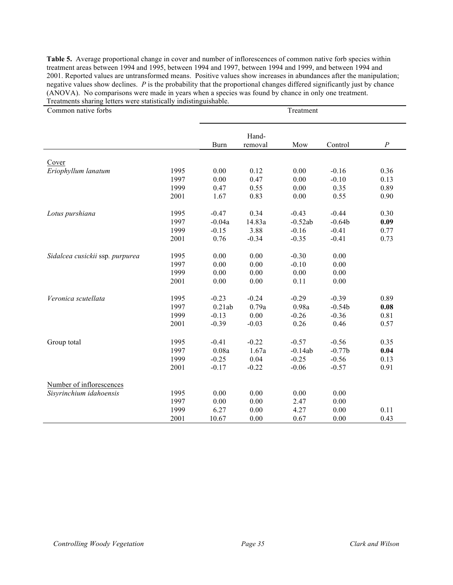**Table 5.** Average proportional change in cover and number of inflorescences of common native forb species within treatment areas between 1994 and 1995, between 1994 and 1997, between 1994 and 1999, and between 1994 and 2001. Reported values are untransformed means. Positive values show increases in abundances after the manipulation; negative values show declines. *P* is the probability that the proportional changes differed significantly just by chance (ANOVA). No comparisons were made in years when a species was found by chance in only one treatment. Treatments sharing letters were statistically indistinguishable.

| Common native forbs             |      | Treatment   |                  |           |          |          |
|---------------------------------|------|-------------|------------------|-----------|----------|----------|
|                                 |      | <b>Burn</b> | Hand-<br>removal | Mow       | Control  | $\cal P$ |
|                                 |      |             |                  |           |          |          |
| Cover<br>Eriophyllum lanatum    | 1995 | 0.00        | 0.12             | 0.00      | $-0.16$  | 0.36     |
|                                 | 1997 | 0.00        | 0.47             | 0.00      | $-0.10$  | 0.13     |
|                                 | 1999 | 0.47        | 0.55             | 0.00      | 0.35     | 0.89     |
|                                 | 2001 | 1.67        | 0.83             | 0.00      | 0.55     | 0.90     |
| Lotus purshiana                 | 1995 | $-0.47$     | 0.34             | $-0.43$   | $-0.44$  | 0.30     |
|                                 | 1997 | $-0.04a$    | 14.83a           | $-0.52ab$ | $-0.64b$ | 0.09     |
|                                 | 1999 | $-0.15$     | 3.88             | $-0.16$   | $-0.41$  | 0.77     |
|                                 | 2001 | 0.76        | $-0.34$          | $-0.35$   | $-0.41$  | 0.73     |
| Sidalcea cusickii ssp. purpurea | 1995 | 0.00        | 0.00             | $-0.30$   | 0.00     |          |
|                                 | 1997 | 0.00        | 0.00             | $-0.10$   | 0.00     |          |
|                                 | 1999 | 0.00        | 0.00             | 0.00      | 0.00     |          |
|                                 | 2001 | 0.00        | 0.00             | 0.11      | 0.00     |          |
| Veronica scutellata             | 1995 | $-0.23$     | $-0.24$          | $-0.29$   | $-0.39$  | 0.89     |
|                                 | 1997 | 0.21ab      | 0.79a            | 0.98a     | $-0.54b$ | 0.08     |
|                                 | 1999 | $-0.13$     | 0.00             | $-0.26$   | $-0.36$  | 0.81     |
|                                 | 2001 | $-0.39$     | $-0.03$          | 0.26      | 0.46     | 0.57     |
| Group total                     | 1995 | $-0.41$     | $-0.22$          | $-0.57$   | $-0.56$  | 0.35     |
|                                 | 1997 | 0.08a       | 1.67a            | $-0.14ab$ | $-0.77b$ | 0.04     |
|                                 | 1999 | $-0.25$     | 0.04             | $-0.25$   | $-0.56$  | 0.13     |
|                                 | 2001 | $-0.17$     | $-0.22$          | $-0.06$   | $-0.57$  | 0.91     |
| Number of inflorescences        |      |             |                  |           |          |          |
| Sisyrinchium idahoensis         | 1995 | 0.00        | 0.00             | 0.00      | 0.00     |          |
|                                 | 1997 | 0.00        | 0.00             | 2.47      | 0.00     |          |
|                                 | 1999 | 6.27        | 0.00             | 4.27      | 0.00     | 0.11     |
|                                 | 2001 | 10.67       | 0.00             | 0.67      | $0.00\,$ | 0.43     |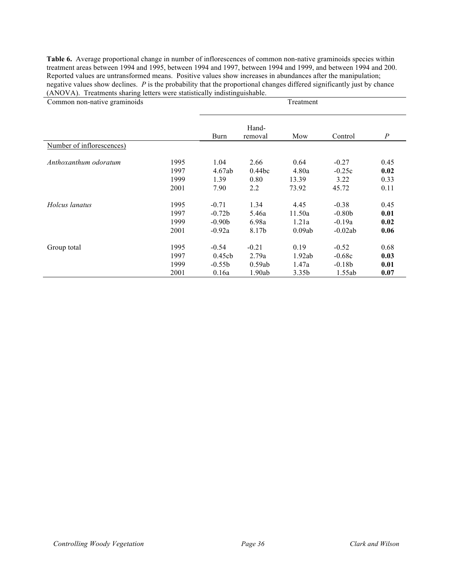**Table 6.** Average proportional change in number of inflorescences of common non-native graminoids species within treatment areas between 1994 and 1995, between 1994 and 1997, between 1994 and 1999, and between 1994 and 200. Reported values are untransformed means. Positive values show increases in abundances after the manipulation; negative values show declines. *P* is the probability that the proportional changes differed significantly just by chance (ANOVA). Treatments sharing letters were statistically indistinguishable.

| Common non-native graminoids |      | Treatment |                  |                   |           |          |  |
|------------------------------|------|-----------|------------------|-------------------|-----------|----------|--|
|                              |      | Burn      | Hand-<br>removal | Mow               | Control   | $\cal P$ |  |
| Number of inflorescences)    |      |           |                  |                   |           |          |  |
| Anthoxanthum odoratum        | 1995 | 1.04      | 2.66             | 0.64              | $-0.27$   | 0.45     |  |
|                              | 1997 | 4.67ab    | 0.44bc           | 4.80a             | $-0.25c$  | 0.02     |  |
|                              | 1999 | 1.39      | 0.80             | 13.39             | 3.22      | 0.33     |  |
|                              | 2001 | 7.90      | 2.2              | 73.92             | 45.72     | 0.11     |  |
| Holcus lanatus               | 1995 | $-0.71$   | 1.34             | 4.45              | $-0.38$   | 0.45     |  |
|                              | 1997 | $-0.72b$  | 5.46a            | 11.50a            | $-0.80b$  | 0.01     |  |
|                              | 1999 | $-0.90b$  | 6.98a            | 1.21a             | $-0.19a$  | 0.02     |  |
|                              | 2001 | $-0.92a$  | 8.17b            | 0.09ab            | $-0.02ab$ | 0.06     |  |
| Group total                  | 1995 | $-0.54$   | $-0.21$          | 0.19              | $-0.52$   | 0.68     |  |
|                              | 1997 | 0.45cb    | 2.79a            | 1.92ab            | $-0.68c$  | 0.03     |  |
|                              | 1999 | $-0.55b$  | 0.59ab           | 1.47a             | $-0.18b$  | 0.01     |  |
|                              | 2001 | 0.16a     | 1.90ab           | 3.35 <sub>b</sub> | 1.55ab    | 0.07     |  |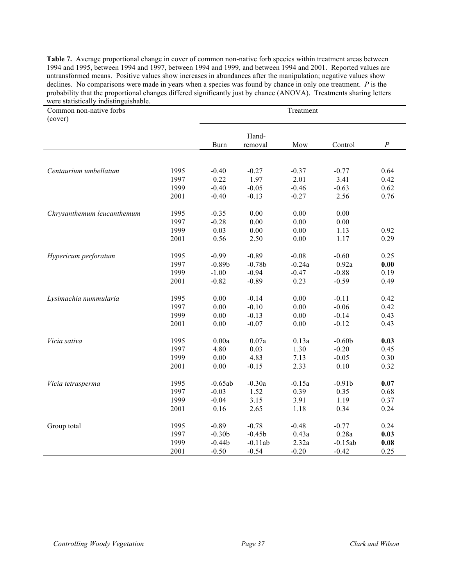**Table 7.** Average proportional change in cover of common non-native forb species within treatment areas between 1994 and 1995, between 1994 and 1997, between 1994 and 1999, and between 1994 and 2001. Reported values are untransformed means. Positive values show increases in abundances after the manipulation; negative values show declines. No comparisons were made in years when a species was found by chance in only one treatment. *P* is the probability that the proportional changes differed significantly just by chance (ANOVA). Treatments sharing letters were statistically indistinguishable.

| Common non-native forbs<br>(cover) |      | Treatment   |           |          |           |          |  |
|------------------------------------|------|-------------|-----------|----------|-----------|----------|--|
|                                    |      |             | Hand-     |          |           |          |  |
|                                    |      | <b>Burn</b> | removal   | Mow      | Control   | $\cal P$ |  |
|                                    |      |             |           |          |           |          |  |
| Centaurium umbellatum              | 1995 | $-0.40$     | $-0.27$   | $-0.37$  | $-0.77$   | 0.64     |  |
|                                    | 1997 | 0.22        | 1.97      | 2.01     | 3.41      | 0.42     |  |
|                                    | 1999 | $-0.40$     | $-0.05$   | $-0.46$  | $-0.63$   | 0.62     |  |
|                                    | 2001 | $-0.40$     | $-0.13$   | $-0.27$  | 2.56      | 0.76     |  |
| Chrysanthemum leucanthemum         | 1995 | $-0.35$     | 0.00      | 0.00     | 0.00      |          |  |
|                                    | 1997 | $-0.28$     | 0.00      | $0.00\,$ | 0.00      |          |  |
|                                    | 1999 | 0.03        | 0.00      | 0.00     | 1.13      | 0.92     |  |
|                                    | 2001 | 0.56        | 2.50      | 0.00     | 1.17      | 0.29     |  |
| Hypericum perforatum               | 1995 | $-0.99$     | $-0.89$   | $-0.08$  | $-0.60$   | 0.25     |  |
|                                    | 1997 | $-0.89b$    | $-0.78b$  | $-0.24a$ | 0.92a     | 0.00     |  |
|                                    | 1999 | $-1.00$     | $-0.94$   | $-0.47$  | $-0.88$   | 0.19     |  |
|                                    | 2001 | $-0.82$     | $-0.89$   | 0.23     | $-0.59$   | 0.49     |  |
| Lysimachia nummularia              | 1995 | 0.00        | $-0.14$   | 0.00     | $-0.11$   | 0.42     |  |
|                                    | 1997 | 0.00        | $-0.10$   | 0.00     | $-0.06$   | 0.42     |  |
|                                    | 1999 | 0.00        | $-0.13$   | 0.00     | $-0.14$   | 0.43     |  |
|                                    | 2001 | 0.00        | $-0.07$   | 0.00     | $-0.12$   | 0.43     |  |
| Vicia sativa                       | 1995 | 0.00a       | 0.07a     | 0.13a    | $-0.60b$  | 0.03     |  |
|                                    | 1997 | 4.80        | 0.03      | 1.30     | $-0.20$   | 0.45     |  |
|                                    | 1999 | 0.00        | 4.83      | 7.13     | $-0.05$   | 0.30     |  |
|                                    | 2001 | 0.00        | $-0.15$   | 2.33     | 0.10      | 0.32     |  |
| Vicia tetrasperma                  | 1995 | $-0.65ab$   | $-0.30a$  | $-0.15a$ | $-0.91b$  | 0.07     |  |
|                                    | 1997 | $-0.03$     | 1.52      | 0.39     | 0.35      | 0.68     |  |
|                                    | 1999 | $-0.04$     | 3.15      | 3.91     | 1.19      | 0.37     |  |
|                                    | 2001 | 0.16        | 2.65      | 1.18     | 0.34      | 0.24     |  |
| Group total                        | 1995 | $-0.89$     | $-0.78$   | $-0.48$  | $-0.77$   | 0.24     |  |
|                                    | 1997 | $-0.30b$    | $-0.45b$  | 0.43a    | 0.28a     | 0.03     |  |
|                                    | 1999 | $-0.44b$    | $-0.11ab$ | 2.32a    | $-0.15ab$ | 0.08     |  |
|                                    | 2001 | $-0.50$     | $-0.54$   | $-0.20$  | $-0.42$   | 0.25     |  |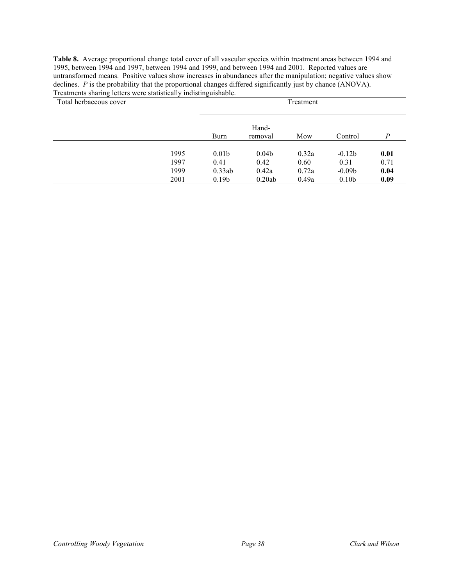**Table 8.** Average proportional change total cover of all vascular species within treatment areas between 1994 and 1995, between 1994 and 1997, between 1994 and 1999, and between 1994 and 2001. Reported values are untransformed means. Positive values show increases in abundances after the manipulation; negative values show declines. *P* is the probability that the proportional changes differed significantly just by chance (ANOVA). Treatments sharing letters were statistically indistinguishable.

| Total herbaceous cover | Treatment |                   |                   |       |                   |                |
|------------------------|-----------|-------------------|-------------------|-------|-------------------|----------------|
|                        |           | Burn              | Hand-<br>removal  | Mow   | Control           | $\overline{P}$ |
|                        | 1995      | 0.01 <sub>b</sub> | 0.04 <sub>b</sub> | 0.32a | $-0.12b$          | 0.01           |
|                        | 1997      | 0.41              | 0.42              | 0.60  | 0.31              | 0.71           |
|                        | 1999      | 0.33ab            | 0.42a             | 0.72a | $-0.09b$          | 0.04           |
|                        | 2001      | 0.19 <sub>b</sub> | 0.20ab            | 0.49a | 0.10 <sub>b</sub> | 0.09           |